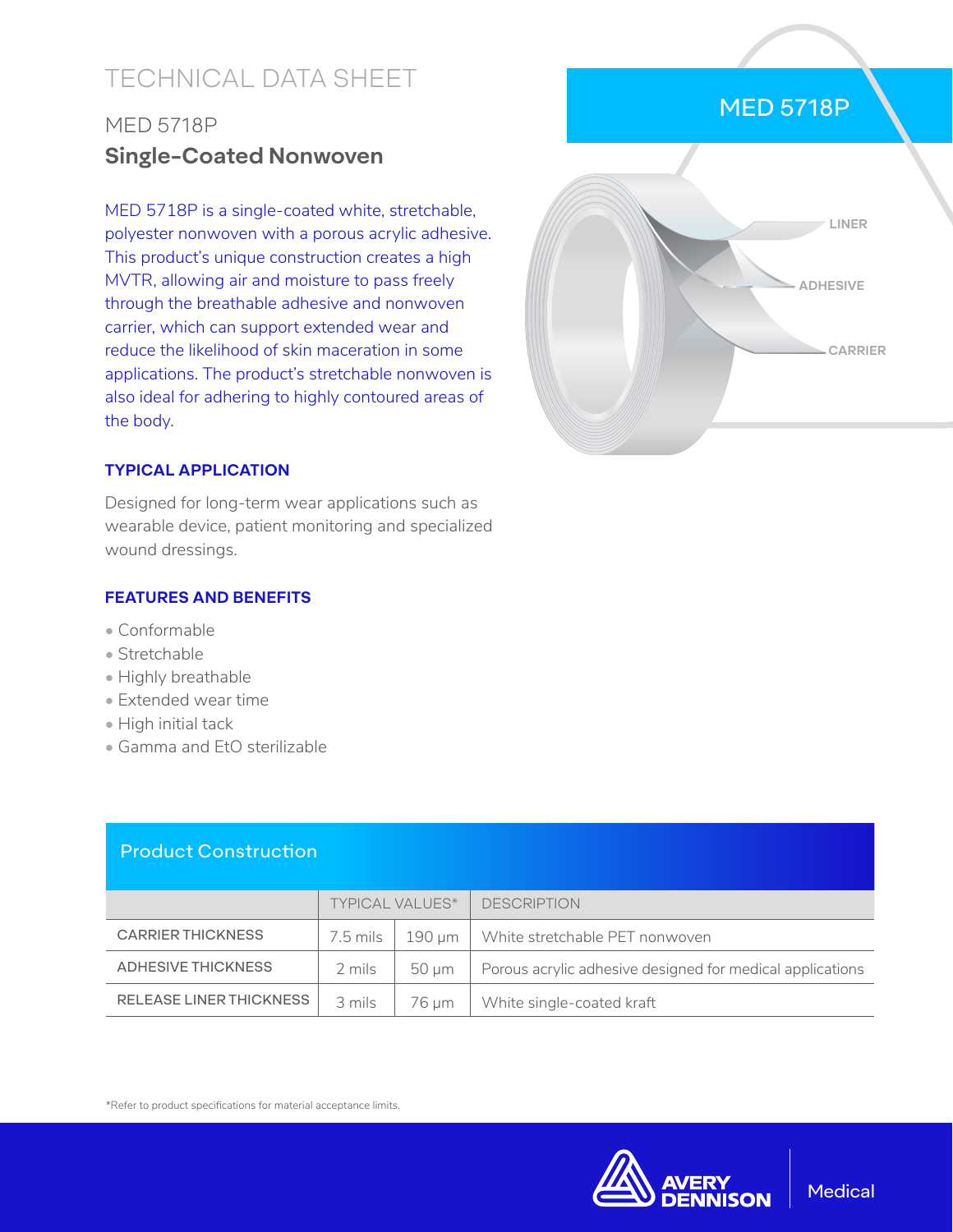# TECHNICAL DATA SHEET

## MED 5718P **Single-Coated Nonwoven**

MED 5718P is a single-coated white, stretchable, polyester nonwoven with a porous acrylic adhesive. This product's unique construction creates a high MVTR, allowing air and moisture to pass freely through the breathable adhesive and nonwoven carrier, which can support extended wear and reduce the likelihood of skin maceration in some applications. The product's stretchable nonwoven is also ideal for adhering to highly contoured areas of the body.

# MED 5718P



#### **TYPICAL APPLICATION**

Designed for long-term wear applications such as wearable device, patient monitoring and specialized wound dressings.

#### **FEATURES AND BENEFITS**

- Conformable
- Stretchable
- Highly breathable
- Extended wear time
- High initial tack
- Gamma and EtO sterilizable

#### Product Construction

|                                | <b>TYPICAL VALUES*</b> |        | <b>DESCRIPTION</b>                                        |
|--------------------------------|------------------------|--------|-----------------------------------------------------------|
| <b>CARRIER THICKNESS</b>       | 7.5 mils               | 190 um | White stretchable PET nonwoven                            |
| ADHESIVE THICKNESS             | 2 mils                 | 50 um  | Porous acrylic adhesive designed for medical applications |
| <b>RELEASE LINER THICKNESS</b> | 3 mils                 | 76 um  | White single-coated kraft                                 |

\*Refer to product specifications for material acceptance limits.